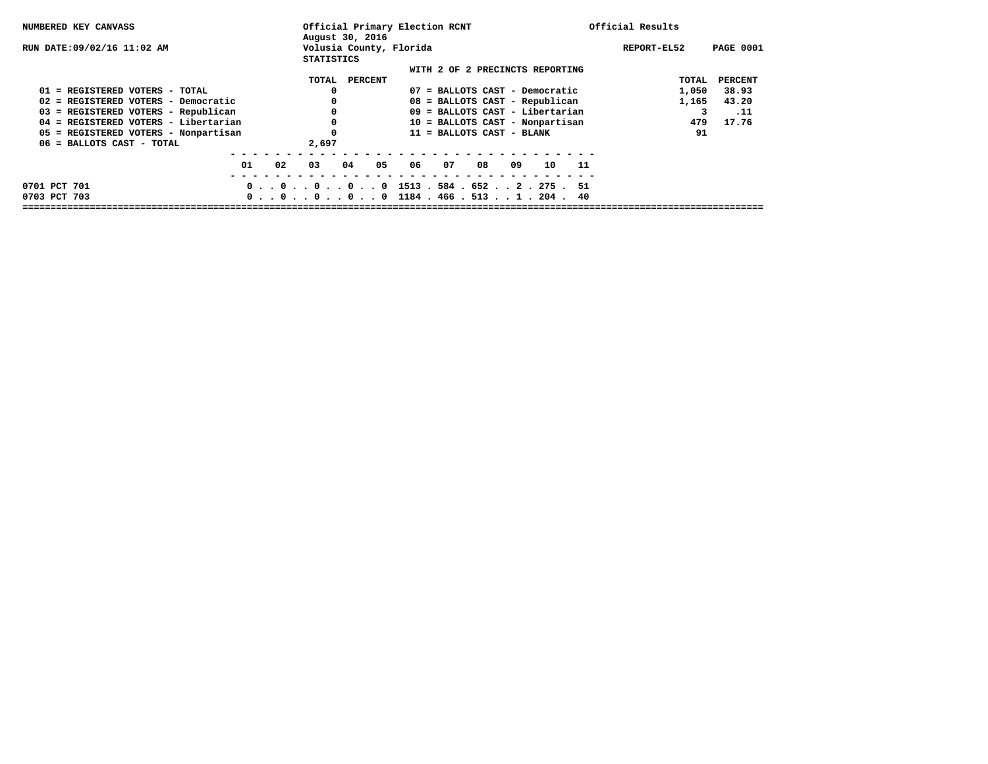| NUMBERED KEY CANVASS                   | Official Primary Election RCNT<br>August 30, 2016 |                                                                                           | Official Results                |
|----------------------------------------|---------------------------------------------------|-------------------------------------------------------------------------------------------|---------------------------------|
| RUN DATE:09/02/16 11:02 AM             | Volusia County, Florida<br><b>STATISTICS</b>      |                                                                                           | <b>PAGE 0001</b><br>REPORT-EL52 |
|                                        |                                                   | WITH 2 OF 2 PRECINCTS REPORTING                                                           |                                 |
|                                        | TOTAL<br>PERCENT                                  |                                                                                           | TOTAL<br>PERCENT                |
| 01 = REGISTERED VOTERS - TOTAL         |                                                   | 07 = BALLOTS CAST - Democratic                                                            | 1,050<br>38.93                  |
| $02$ = REGISTERED VOTERS - Democratic  |                                                   | 08 = BALLOTS CAST - Republican                                                            | 43.20<br>1,165                  |
| 03 = REGISTERED VOTERS - Republican    |                                                   | $09$ = BALLOTS CAST - Libertarian                                                         | 3<br>.11                        |
| $04$ = REGISTERED VOTERS - Libertarian |                                                   | 10 = BALLOTS CAST - Nonpartisan                                                           | 17.76<br>479                    |
| 05 = REGISTERED VOTERS - Nonpartisan   |                                                   | 11 = BALLOTS CAST - BLANK                                                                 | 91                              |
| 06 = BALLOTS CAST - TOTAL              | 2,697                                             |                                                                                           |                                 |
|                                        |                                                   |                                                                                           |                                 |
| 01<br>02                               | 03<br>04<br>05                                    | 06<br>07<br>08<br>09<br>10<br>11                                                          |                                 |
|                                        |                                                   |                                                                                           |                                 |
| 0701 PCT 701                           |                                                   | $0 \tldots 0 \tldots 0 \tldots 0 \tldots 0$ 1513 . 584 . 652 2 . 275 . 51                 |                                 |
| 0703 PCT 703                           |                                                   | $0 \tldots 0 \tldots 0 \tldots 0 \tldots 0$ 1184 $t$ 466 $t$ 513 $t$ $t$ 1 $t$ 204 $t$ 40 |                                 |
|                                        |                                                   |                                                                                           |                                 |